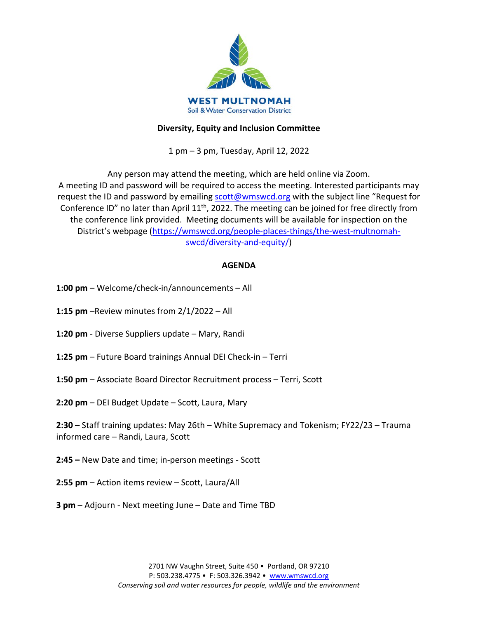

# **Diversity, Equity and Inclusion Committee**

1 pm – 3 pm, Tuesday, April 12, 2022

Any person may attend the meeting, which are held online via Zoom. A meeting ID and password will be required to access the meeting. Interested participants may request the ID and password by emailing [scott@wmswcd.org](mailto:scott@wmswcd.org) with the subject line "Request for Conference ID" no later than April 11th, 2022. The meeting can be joined for free directly from the conference link provided. Meeting documents will be available for inspection on the District's webpage [\(https://wmswcd.org/people-places-things/the-west-multnomah](https://wmswcd.org/people-places-things/the-west-multnomah-swcd/diversity-and-equity/)[swcd/diversity-and-equity/\)](https://wmswcd.org/people-places-things/the-west-multnomah-swcd/diversity-and-equity/)

# **AGENDA**

- **1:00 pm**  Welcome/check-in/announcements All
- **1:15 pm** –Review minutes from 2/1/2022 All
- **1:20 pm**  Diverse Suppliers update Mary, Randi
- **1:25 pm** Future Board trainings Annual DEI Check-in Terri
- **1:50 pm** Associate Board Director Recruitment process Terri, Scott
- **2:20 pm** DEI Budget Update Scott, Laura, Mary
- **2:30 –** Staff training updates: May 26th White Supremacy and Tokenism; FY22/23 Trauma informed care – Randi, Laura, Scott
- **2:45 –** New Date and time; in-person meetings Scott
- **2:55 pm**  Action items review Scott, Laura/All
- **3 pm**  Adjourn Next meeting June Date and Time TBD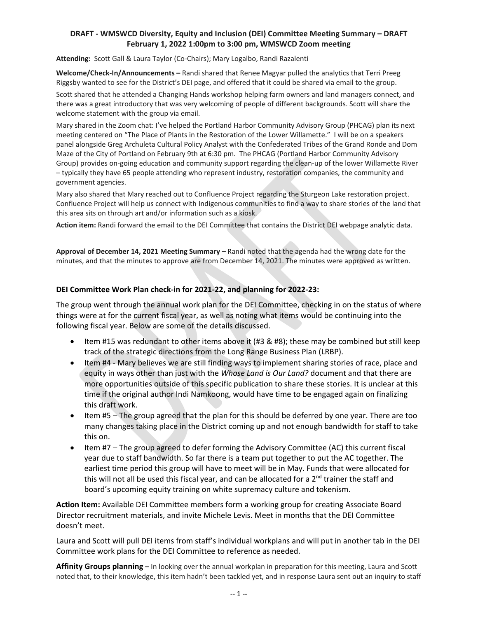## **DRAFT - WMSWCD Diversity, Equity and Inclusion (DEI) Committee Meeting Summary – DRAFT February 1, 2022 1:00pm to 3:00 pm, WMSWCD Zoom meeting**

**Attending:** Scott Gall & Laura Taylor (Co-Chairs); Mary Logalbo, Randi Razalenti

**Welcome/Check-In/Announcements –** Randi shared that Renee Magyar pulled the analytics that Terri Preeg Riggsby wanted to see for the District's DEI page, and offered that it could be shared via email to the group.

Scott shared that he attended a Changing Hands workshop helping farm owners and land managers connect, and there was a great introductory that was very welcoming of people of different backgrounds. Scott will share the welcome statement with the group via email.

Mary shared in the Zoom chat: I've helped the Portland Harbor Community Advisory Group (PHCAG) plan its next meeting centered on "The Place of Plants in the Restoration of the Lower Willamette." I will be on a speakers panel alongside Greg Archuleta Cultural Policy Analyst with the Confederated Tribes of the Grand Ronde and Dom Maze of the City of Portland on February 9th at 6:30 pm. The PHCAG (Portland Harbor Community Advisory Group) provides on-going education and community support regarding the clean-up of the lower Willamette River – typically they have 65 people attending who represent industry, restoration companies, the community and government agencies.

Mary also shared that Mary reached out to Confluence Project regarding the Sturgeon Lake restoration project. Confluence Project will help us connect with Indigenous communities to find a way to share stories of the land that this area sits on through art and/or information such as a kiosk.

**Action item:** Randi forward the email to the DEI Committee that contains the District DEI webpage analytic data.

**Approval of December 14, 2021 Meeting Summary** – Randi noted that the agenda had the wrong date for the minutes, and that the minutes to approve are from December 14, 2021. The minutes were approved as written.

### **DEI Committee Work Plan check-in for 2021-22, and planning for 2022-23:**

The group went through the annual work plan for the DEI Committee, checking in on the status of where things were at for the current fiscal year, as well as noting what items would be continuing into the following fiscal year. Below are some of the details discussed.

- Item #15 was redundant to other items above it  $(H3 \& H8)$ ; these may be combined but still keep track of the strategic directions from the Long Range Business Plan (LRBP).
- Item #4 Mary believes we are still finding ways to implement sharing stories of race, place and equity in ways other than just with the *Whose Land is Our Land?* document and that there are more opportunities outside of this specific publication to share these stories. It is unclear at this time if the original author Indi Namkoong, would have time to be engaged again on finalizing this draft work.
- Item #5 The group agreed that the plan for this should be deferred by one year. There are too many changes taking place in the District coming up and not enough bandwidth for staff to take this on.
- Item #7 The group agreed to defer forming the Advisory Committee (AC) this current fiscal year due to staff bandwidth. So far there is a team put together to put the AC together. The earliest time period this group will have to meet will be in May. Funds that were allocated for this will not all be used this fiscal year, and can be allocated for a 2<sup>nd</sup> trainer the staff and board's upcoming equity training on white supremacy culture and tokenism.

**Action Item:** Available DEI Committee members form a working group for creating Associate Board Director recruitment materials, and invite Michele Levis. Meet in months that the DEI Committee doesn't meet.

Laura and Scott will pull DEI items from staff's individual workplans and will put in another tab in the DEI Committee work plans for the DEI Committee to reference as needed.

**Affinity Groups planning –** In looking over the annual workplan in preparation for this meeting, Laura and Scott noted that, to their knowledge, this item hadn't been tackled yet, and in response Laura sent out an inquiry to staff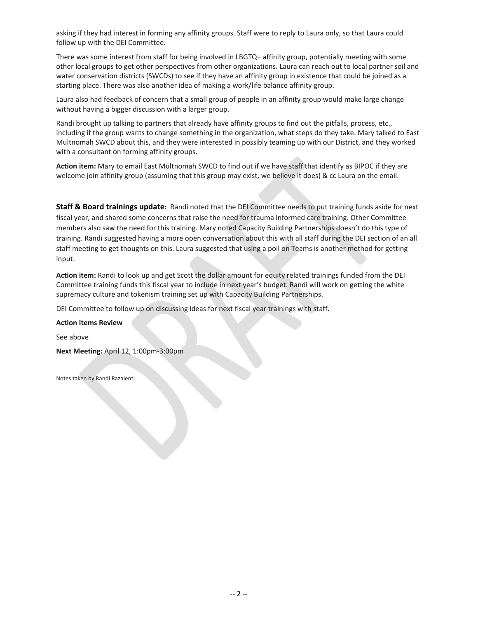asking if they had interest in forming any affinity groups. Staff were to reply to Laura only, so that Laura could follow up with the DEI Committee.

There was some interest from staff for being involved in LBGTQ+ affinity group, potentially meeting with some other local groups to get other perspectives from other organizations. Laura can reach out to local partner soil and water conservation districts (SWCDs) to see if they have an affinity group in existence that could be joined as a starting place. There was also another idea of making a work/life balance affinity group.

Laura also had feedback of concern that a small group of people in an affinity group would make large change without having a bigger discussion with a larger group.

Randi brought up talking to partners that already have affinity groups to find out the pitfalls, process, etc., including if the group wants to change something in the organization, what steps do they take. Mary talked to East Multnomah SWCD about this, and they were interested in possibly teaming up with our District, and they worked with a consultant on forming affinity groups.

**Action item:** Mary to email East Multnomah SWCD to find out if we have staff that identify as BIPOC if they are welcome join affinity group (assuming that this group may exist, we believe it does) & cc Laura on the email.

**Staff & Board trainings update:** Randi noted that the DEI Committee needs to put training funds aside for next fiscal year, and shared some concerns that raise the need for trauma informed care training. Other Committee members also saw the need for this training. Mary noted Capacity Building Partnerships doesn't do this type of training. Randi suggested having a more open conversation about this with all staff during the DEI section of an all staff meeting to get thoughts on this. Laura suggested that using a poll on Teams is another method for getting input.

**Action item:** Randi to look up and get Scott the dollar amount for equity related trainings funded from the DEI Committee training funds this fiscal year to include in next year's budget. Randi will work on getting the white supremacy culture and tokenism training set up with Capacity Building Partnerships.

DEI Committee to follow up on discussing ideas for next fiscal year trainings with staff.

#### **Action Items Review**

See above

**Next Meeting:** April 12, 1:00pm-3:00pm

Notes taken by Randi Razalenti